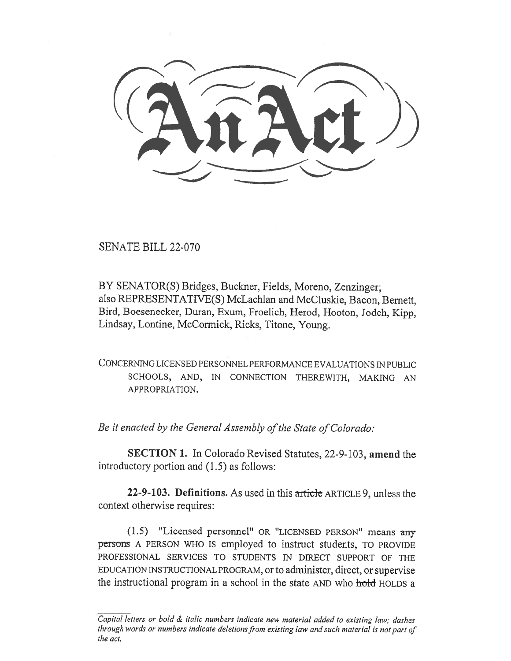SENATE BILL 22-070

BY SENATOR(S) Bridges, Buckner, Fields, Moreno, Zenzinger; also REPRESENTATIVE(S) McLachlan and McCluskie, Bacon, Bernett, Bird, Boesenecker, Duran, Exum, Froelich, Herod, Hooton, Jodeh, Kipp, Lindsay, Lontine, McCormick, Ricks, Titone, Young.

CONCERNING LICENSED PERSONNEL PERFORMANCE EVALUATIONS IN PUBLIC SCHOOLS, AND, IN CONNECTION THEREWITH, MAKING AN APPROPRIATION.

Be it enacted by the General Assembly of the State of Colorado:

SECTION 1. In Colorado Revised Statutes, 22-9-103, amend the introductory portion and (1.5) as follows:

22-9-103. Definitions. As used in this article ARTICLE 9, unless the context otherwise requires:

(1.5) "Licensed personnel" OR "LICENSED PERSON" means any persons A PERSON WHO IS employed to instruct students, TO PROVIDE PROFESSIONAL SERVICES TO STUDENTS IN DIRECT SUPPORT OF THE EDUCATION INSTRUCTIONAL PROGRAM, or to administer, direct, or supervise the instructional program in a school in the state AND who hold HOLDS a

Capital letters or bold  $\&$  italic numbers indicate new material added to existing law; dashes through words or numbers indicate deletions from existing law and such material is not part of the act.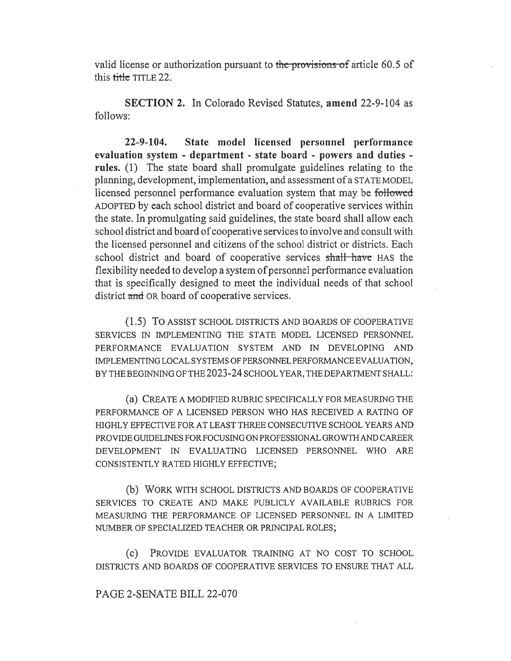valid license or authorization pursuant to the provisions of article 60.5 of this title TITLE 22.

SECTION 2. In Colorado Revised Statutes, amend 22-9-104 as follows:

22-9-104. State model licensed personnel performance evaluation system - department - state board - powers and duties rules. (1) The state board shall promulgate guidelines relating to the planning, development, implementation, and assessment of a STATE MODEL licensed personnel performance evaluation system that may be followed ADOPTED by each school district and board of cooperative services within the state. In promulgating said guidelines, the state board shall allow each school district and board of cooperative services to involve and consult with the licensed personnel and citizens of the school district or districts. Each school district and board of cooperative services shall have HAS the flexibility needed to develop a system of personnel performance evaluation that is specifically designed to meet the individual needs of that school district and OR board of cooperative services.

(1.5) To ASSIST SCHOOL DISTRICTS AND BOARDS OF COOPERATIVE SERVICES IN IMPLEMENTING THE STATE MODEL LICENSED PERSONNEL PERFORMANCE EVALUATION SYSTEM AND IN DEVELOPING AND IMPLEMENTING LOCAL SYSTEMS OF PERSONNEL PERFORMANCE EVALUATION, BY THE BEGINNING OF THE 2023-24 SCHOOL YEAR, THE DEPARTMENT SHALL:

(a) CREATE A MODIFIED RUBRIC SPECIFICALLY FOR MEASURING THE PERFORMANCE OF A LICENSED PERSON WHO HAS RECEIVED A RATING OF HIGHLY EFFECTIVE FOR AT LEAST THREE CONSECUTIVE SCHOOL YEARS AND PROVIDE GUIDELINES FOR FOCUSING ON PROFESSIONAL GROWTH AND CAREER DEVELOPMENT IN EVALUATING LICENSED PERSONNEL WHO ARE CONSISTENTLY RATED HIGHLY EFFECTIVE;

(b) WORK WITH SCHOOL DISTRICTS AND BOARDS OF COOPERATIVE SERVICES TO CREATE AND MAKE PUBLICLY AVAILABLE RUBRICS FOR MEASURING THE PERFORMANCE OF LICENSED PERSONNEL IN A LIMITED NUMBER OF SPECIALIZED TEACHER OR PRINCIPAL ROLES;

(c) PROVIDE EVALUATOR TRAINING AT NO COST TO SCHOOL DISTRICTS AND BOARDS OF COOPERATIVE SERVICES TO ENSURE THAT ALL

## PAGE 2-SENATE BILL 22-070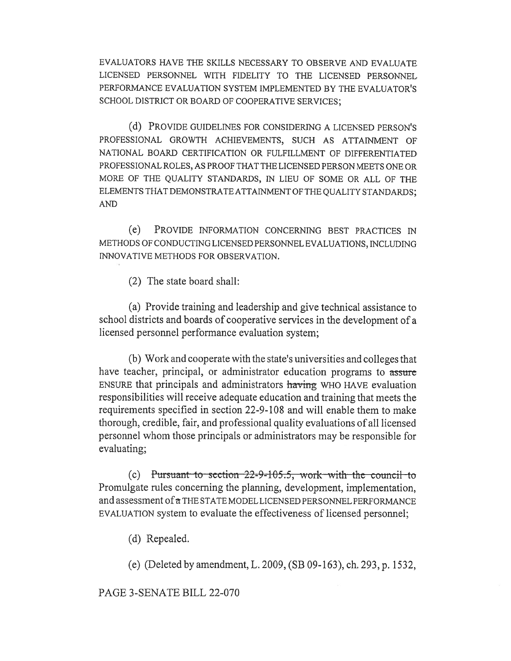EVALUATORS HAVE THE SKILLS NECESSARY TO OBSERVE AND EVALUATE LICENSED PERSONNEL WITH FIDELITY TO THE LICENSED PERSONNEL PERFORMANCE EVALUATION SYSTEM IMPLEMENTED BY THE EVALUATOR'S SCHOOL DISTRICT OR BOARD OF COOPERATIVE SERVICES;

(d) PROVIDE GUIDELINES FOR CONSIDERING A LICENSED PERSON'S PROFESSIONAL GROWTH ACHIEVEMENTS, SUCH AS ATTAINMENT OF NATIONAL BOARD CERTIFICATION OR FULFILLMENT OF DIFFERENTIATED PROFESSIONAL ROLES, AS PROOF THAT THE LICENSED PERSON MEETS ONE OR MORE OF THE QUALITY STANDARDS, IN LIEU OF SOME OR ALL OF THE ELEMENTS THAT DEMONSTRATE ATTAINMENT OF THE QUALITY STANDARDS; AND

(e) PROVIDE INFORMATION CONCERNING BEST PRACTICES IN METHODS OF CONDUCTING LICENSED PERSONNEL EVALUATIONS, INCLUDING INNOVATIVE METHODS FOR OBSERVATION.

(2) The state board shall:

(a) Provide training and leadership and give technical assistance to school districts and boards of cooperative services in the development of a licensed personnel performance evaluation system;

(b) Work and cooperate with the state's universities and colleges that have teacher, principal, or administrator education programs to assure ENSURE that principals and administrators having WHO HAVE evaluation responsibilities will receive adequate education and training that meets the requirements specified in section 22-9-108 and will enable them to make thorough, credible, fair, and professional quality evaluations of all licensed personnel whom those principals or administrators may be responsible for evaluating;

(c) Pursuant to section  $22-9-105.5$ , work-with the council-to Promulgate rules concerning the planning, development, implementation, and assessment of  $\alpha$  THE STATE MODEL LICENSED PERSONNEL PERFORMANCE EVALUATION system to evaluate the effectiveness of licensed personnel;

(d) Repealed.

(e) (Deleted by amendment, L. 2009, (SB 09-163), ch. 293, p. 1532,

PAGE 3-SENATE BILL 22-070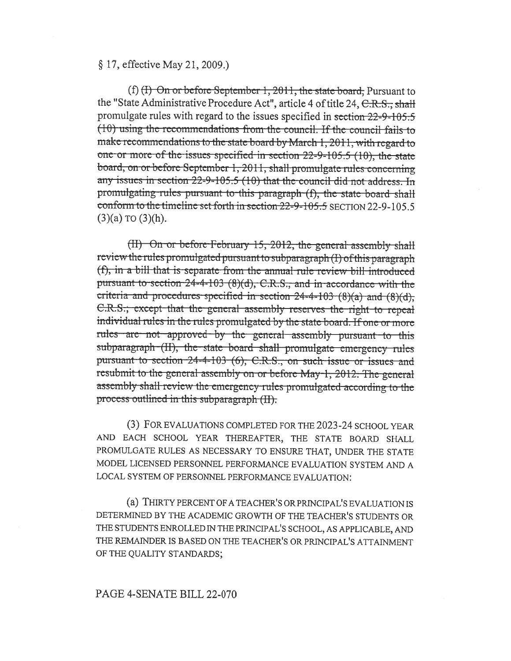## § 17, effective May 21, 2009.)

(f) (H) On or before September 1, 2011, the state board, Pursuant to the "State Administrative Procedure Act", article 4 of title 24, C.R.S., shall promulgate rules with regard to the issues specified in section 22-9-105.5  $(10)$  using the recommendations from the council. If the council fails to make recommendations to the state board by March 1, 2011, with regard to one or more of the issues specified in section 22-9-105.5 (10), the state board, on or before September 1, 2011, shall promulgate rules concerning any issues in section 22-9-105.5 (10) that the council did not address. In promulgating rules pursuant to this paragraph (f), the state board shall conform to the timeline set forth in section 22-9-105.5 SECTION 22-9-105.5  $(3)(a)$  TO  $(3)(h)$ .

(II) On or before February 15, 2012, the general assembly shall review the rules promulgated pursuant to subparagraph (I) of this paragraph (f), in a bill that is separate from the annual rule review bill introduced pursuant to section 24-4-103 (8)(d), C.R.S., and in accordance with the criteria and procedures specified in section  $24-4-103$  (8)(a) and (8)(d), C.R.S.; except that the general assembly reserves the right to repeal individual rules in the rules promulgated by the state board. If one or more rules are not approved by the general assembly pursuant to this subparagraph (II), the state board shall promulgate emergency rules pursuant to section 24-4-103 (6), C.R.S., on such issue or issues and resubmit to the general assembly on or before May-1, 2012. The general assembly shall review the emergency rules promulgated according to the process outlined in this subparagraph (II).

(3) FOR EVALUATIONS COMPLETED FOR THE 2023-24 SCHOOL YEAR AND EACH SCHOOL YEAR THEREAFTER, THE STATE BOARD SHALL PROMULGATE RULES AS NECESSARY TO ENSURE THAT, UNDER THE STATE MODEL LICENSED PERSONNEL PERFORMANCE EVALUATION SYSTEM AND A LOCAL SYSTEM OF PERSONNEL PERFORMANCE EVALUATION:

(a) THIRTY PERCENT OF A TEACHER'S OR PRINCIPAL'S EVALUATION IS DETERMINED BY THE ACADEMIC GROWTH OF THE TEACHER'S STUDENTS OR THE STUDENTS ENROLLED IN THE PRINCIPAL'S SCHOOL, AS APPLICABLE, AND THE REMAINDER IS BASED ON THE TEACHER'S OR PRINCIPAL'S ATTAINMENT OF THE QUALITY STANDARDS;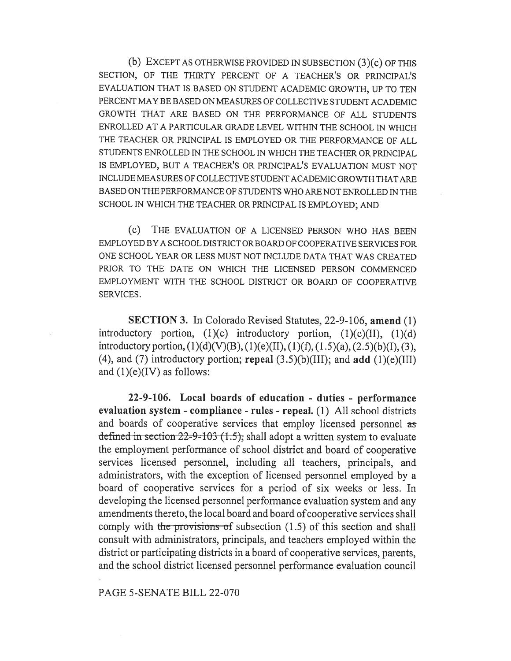(b) EXCEPT AS OTHERWISE PROVIDED IN SUBSECTION (3)(c) OF THIS SECTION, OF THE THIRTY PERCENT OF A TEACHER'S OR PRINCIPAL'S EVALUATION THAT IS BASED ON STUDENT ACADEMIC GROWTH, UP TO TEN PERCENT MAY BE BASED ON MEASURES OF COLLECTIVE STUDENT ACADEMIC GROWTH THAT ARE BASED ON THE PERFORMANCE OF ALL STUDENTS ENROLLED AT A PARTICULAR GRADE LEVEL WITHIN THE SCHOOL IN WHICH THE TEACHER OR PRINCIPAL IS EMPLOYED OR THE PERFORMANCE OF ALL STUDENTS ENROLLED IN THE SCHOOL IN WHICH THE TEACHER OR PRINCIPAL IS EMPLOYED, BUT A TEACHER'S OR PRINCIPAL'S EVALUATION MUST NOT INCLUDE MEASURES OF COLLECTIVE STUDENT ACADEMIC GROWTH THAT ARE BASED ON THE PERFORMANCE OF STUDENTS WHO ARE NOT ENROLLED IN THE SCHOOL IN WHICH THE TEACHER OR PRINCIPAL IS EMPLOYED; AND

(c) THE EVALUATION OF A LICENSED PERSON WHO HAS BEEN EMPLOYED BY A SCHOOL DISTRICT OR BOARD OF COOPERATIVE SERVICES FOR ONE SCHOOL YEAR OR LESS MUST NOT INCLUDE DATA THAT WAS CREATED PRIOR TO THE DATE ON WHICH THE LICENSED PERSON COMMENCED EMPLOYMENT WITH THE SCHOOL DISTRICT OR BOARD OF COOPERATIVE SERVICES.

SECTION 3. In Colorado Revised Statutes, 22-9-106, amend (1) introductory portion,  $(1)(c)$  introductory portion,  $(1)(c)(II)$ ,  $(1)(d)$ introductory portion,  $(1)(d)(V)(B)$ ,  $(1)(e)(II)$ ,  $(1)(f)$ ,  $(1.5)(a)$ ,  $(2.5)(b)(I)$ ,  $(3)$ , (4), and (7) introductory portion; repeal  $(3.5)(b)(III)$ ; and add  $(1)(e)(III)$ and  $(1)(e)(IV)$  as follows:

22-9-106. Local boards of education - duties - performance evaluation system - compliance - rules - repeal. (1) All school districts and boards of cooperative services that employ licensed personnel as defined in section  $22-9-103$  (1.5), shall adopt a written system to evaluate the employment performance of school district and board of cooperative services licensed personnel, including all teachers, principals, and administrators, with the exception of licensed personnel employed by a board of cooperative services for a period of six weeks or less. In developing the licensed personnel performance evaluation system and any amendments thereto, the local board and board of cooperative services shall comply with the provisions of subsection  $(1.5)$  of this section and shall consult with administrators, principals, and teachers employed within the district or participating districts in a board of cooperative services, parents, and the school district licensed personnel performance evaluation council

PAGE 5-SENATE BILL 22-070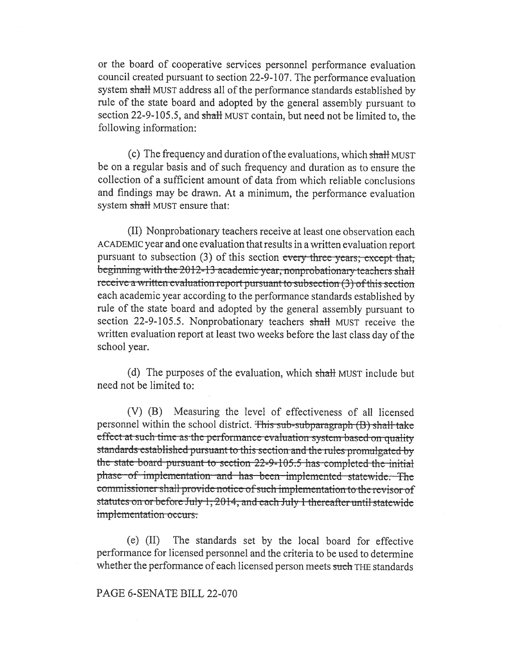or the board of cooperative services personnel performance evaluation council created pursuant to section 22-9-107. The performance evaluation system shall MUST address all of the performance standards established by rule of the state board and adopted by the general assembly pursuant to section 22-9-105.5, and shall MUST contain, but need not be limited to, the following information:

(c) The frequency and duration of the evaluations, which shall MUST be on a regular basis and of such frequency and duration as to ensure the collection of a sufficient amount of data from which reliable conclusions and findings may be drawn. At a minimum, the performance evaluation system shall MUST ensure that:

(II) Nonprobationary teachers receive at least one observation each ACADEMIC year and one evaluation that results in a written evaluation report pursuant to subsection (3) of this section every three years; except that, beginning with the 2012-13 academic year, nonprobationary teachers shall receive a written evaluation report pursuant to subsection (3) of this section each academic year according to the performance standards established by rule of the state board and adopted by the general assembly pursuant to section 22-9-105.5. Nonprobationary teachers shall MUST receive the written evaluation report at least two weeks before the last class day of the school year.

(d) The purposes of the evaluation, which shall MUST include but need not be limited to:

(V) (B) Measuring the level of effectiveness of all licensed personnel within the school district. This sub-subparagraph (B) shall take effect at such time as the performance evaluation system based on quality standards established pursuant to this section and the rules promulgated by the state board pursuant to section 22-9-105.5 has completed the initial phase of implementation and has been implemented statewide. The commissioner shall provide notice of such implementation to the revisor of statutes on or before July 1, 2014, and each July 1 thereafter until statewide implementation occurs.

The standards set by the local board for effective  $(e)$  (II) performance for licensed personnel and the criteria to be used to determine whether the performance of each licensed person meets such THE standards

## PAGE 6-SENATE BILL 22-070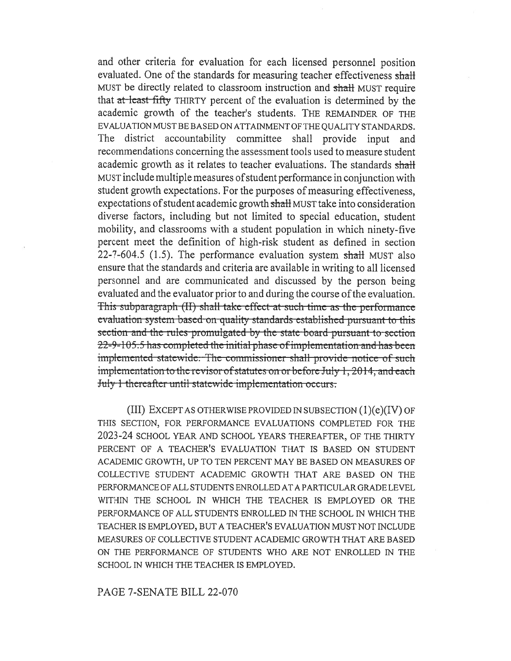and other criteria for evaluation for each licensed personnel position evaluated. One of the standards for measuring teacher effectiveness shall MUST be directly related to classroom instruction and shall MUST require that at least fifty THIRTY percent of the evaluation is determined by the academic growth of the teacher's students. THE REMAINDER OF THE EVALUATION MUST BE BASED ON ATTAINMENT OF THE QUALITY STANDARDS. The district accountability committee shall provide input and recommendations concerning the assessment tools used to measure student academic growth as it relates to teacher evaluations. The standards shall MUST include multiple measures of student performance in conjunction with student growth expectations. For the purposes of measuring effectiveness, expectations of student academic growth shall MUST take into consideration diverse factors, including but not limited to special education, student mobility, and classrooms with a student population in which ninety-five percent meet the definition of high-risk student as defined in section 22-7-604.5 (1.5). The performance evaluation system shall MUST also ensure that the standards and criteria are available in writing to all licensed personnel and are communicated and discussed by the person being evaluated and the evaluator prior to and during the course of the evaluation. This subparagraph (II) shall take effect at such time as the performance evaluation system based on quality standards established pursuant to this section and the rules promulgated by the state board pursuant to section 22-9-105.5 has completed the initial phase of implementation and has been implemented statewide. The commissioner shall provide notice of such implementation to the revisor of statutes on or before July 1, 2014, and each July 1 thereafter until statewide implementation occurs.

(III) EXCEPT AS OTHERWISE PROVIDED IN SUBSECTION  $(1)(e)(IV)$  OF THIS SECTION, FOR PERFORMANCE EVALUATIONS COMPLETED FOR THE 2023-24 SCHOOL YEAR AND SCHOOL YEARS THEREAFTER, OF THE THIRTY PERCENT OF A TEACHER'S EVALUATION THAT IS BASED ON STUDENT ACADEMIC GROWTH, UP TO TEN PERCENT MAY BE BASED ON MEASURES OF COLLECTIVE STUDENT ACADEMIC GROWTH THAT ARE BASED ON THE PERFORMANCE OF ALL STUDENTS ENROLLED AT A PARTICULAR GRADE LEVEL WITHIN THE SCHOOL IN WHICH THE TEACHER IS EMPLOYED OR THE PERFORMANCE OF ALL STUDENTS ENROLLED IN THE SCHOOL IN WHICH THE TEACHER IS EMPLOYED, BUT A TEACHER'S EVALUATION MUST NOT INCLUDE MEASURES OF COLLECTIVE STUDENT ACADEMIC GROWTH THAT ARE BASED ON THE PERFORMANCE OF STUDENTS WHO ARE NOT ENROLLED IN THE SCHOOL IN WHICH THE TEACHER IS EMPLOYED.

PAGE 7-SENATE BILL 22-070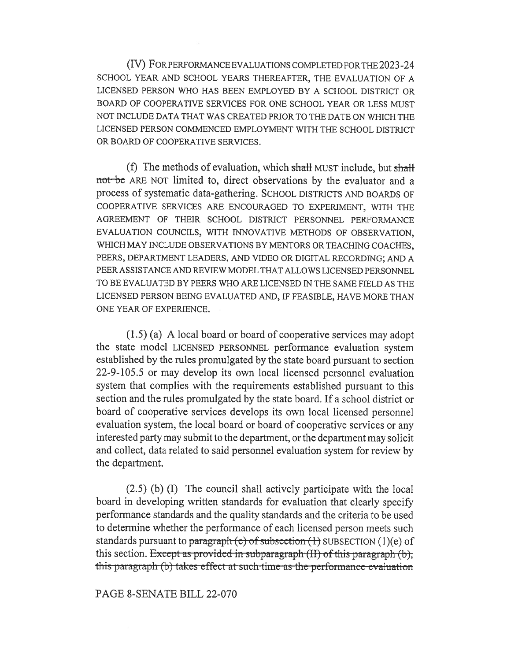(IV) FOR PERFORMANCE EVALUATIONS COMPLETED FOR THE 2023-24 SCHOOL YEAR AND SCHOOL YEARS THEREAFTER, THE EVALUATION OF A LICENSED PERSON WHO HAS BEEN EMPLOYED BY A SCHOOL DISTRICT OR BOARD OF COOPERATIVE SERVICES FOR ONE SCHOOL YEAR OR LESS MUST NOT INCLUDE DATA THAT WAS CREATED PRIOR TO THE DATE ON WHICH THE LICENSED PERSON COMMENCED EMPLOYMENT WITH THE SCHOOL DISTRICT OR BOARD OF COOPERATIVE SERVICES.

(f) The methods of evaluation, which shall MUST include, but shall not be ARE NOT limited to, direct observations by the evaluator and a process of systematic data-gathering. SCHOOL DISTRICTS AND BOARDS OF COOPERATIVE SERVICES ARE ENCOURAGED TO EXPERIMENT, WITH THE AGREEMENT OF THEIR SCHOOL DISTRICT PERSONNEL PERFORMANCE EVALUATION COUNCILS, WITH INNOVATIVE METHODS OF OBSERVATION, WHICH MAY INCLUDE OBSERVATIONS BY MENTORS OR TEACHING COACHES, PEERS, DEPARTMENT LEADERS, AND VIDEO OR DIGITAL RECORDING; AND A PEER ASSISTANCE AND REVIEW MODEL THAT ALLOWS LICENSED PERSONNEL TO BE EVALUATED BY PEERS WHO ARE LICENSED IN THE SAME FIELD AS THE LICENSED PERSON BEING EVALUATED AND, IF FEASIBLE, HAVE MORE THAN ONE YEAR OF EXPERIENCE.

(1.5) (a) A local board or board of cooperative services may adopt the state model LICENSED PERSONNEL performance evaluation system established by the rules promulgated by the state board pursuant to section 22-9-105.5 or may develop its own local licensed personnel evaluation system that complies with the requirements established pursuant to this section and the rules promulgated by the state board. If a school district or board of cooperative services develops its own local licensed personnel evaluation system, the local board or board of cooperative services or any interested party may submit to the department, or the department may solicit and collect, data related to said personnel evaluation system for review by the department.

(2.5) (b) (I) The council shall actively participate with the local board in developing written standards for evaluation that clearly specify performance standards and the quality standards and the criteria to be used to determine whether the performance of each licensed person meets such standards pursuant to paragraph (e) of subsection  $(1)$  SUBSECTION  $(1)(e)$  of this section. Except as provided in subparagraph  $(H)$  of this paragraph  $(b)$ , this paragraph (b) takes effect at such time as the performance evaluation

PAGE 8-SENATE BILL 22-070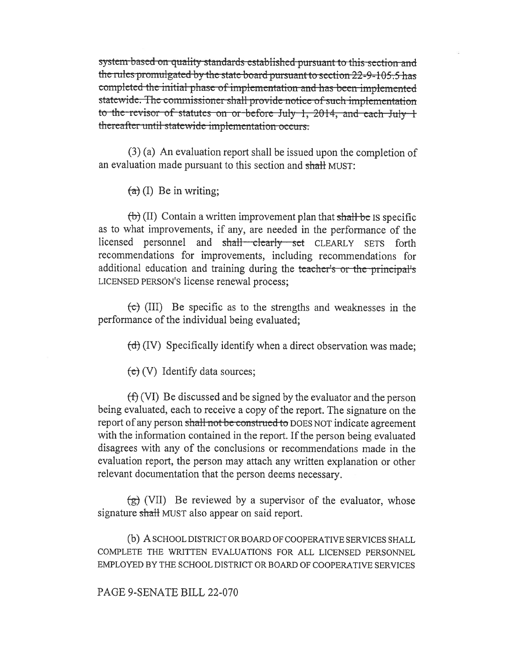system based on quality standards established pursuant to this section and the rules promulgated by the state board pursuant to section 22-9-105.5 has completed the initial phase of implementation and has been implemented statewide. The commissioner shall provide notice of such implementation to the revisor of statutes on or before July 1, 2014, and each July 1 thereafter until statewide implementation occurs.

 $(3)$  (a) An evaluation report shall be issued upon the completion of an evaluation made pursuant to this section and shall MUST:

 $(a)$  (I) Be in writing;

 $(\theta)$  (II) Contain a written improvement plan that shall be IS specific as to what improvements, if any, are needed in the performance of the licensed personnel and shall clearly set CLEARLY SETS forth recommendations for improvements, including recommendations for additional education and training during the teacher's or the principal's LICENSED PERSON'S license renewal process;

 $\left(\text{c}\right)$  (III) Be specific as to the strengths and weaknesses in the performance of the individual being evaluated:

 $(d)$  (IV) Specifically identify when a direct observation was made;

 $(e)$  (V) Identify data sources;

 $(f)$  (VI) Be discussed and be signed by the evaluator and the person being evaluated, each to receive a copy of the report. The signature on the report of any person shall not be construed to DOES NOT indicate agreement with the information contained in the report. If the person being evaluated disagrees with any of the conclusions or recommendations made in the evaluation report, the person may attach any written explanation or other relevant documentation that the person deems necessary.

 $\left(\frac{1}{2}\right)$  (VII) Be reviewed by a supervisor of the evaluator, whose signature shall MUST also appear on said report.

(b) A SCHOOL DISTRICT OR BOARD OF COOPERATIVE SERVICES SHALL COMPLETE THE WRITTEN EVALUATIONS FOR ALL LICENSED PERSONNEL EMPLOYED BY THE SCHOOL DISTRICT OR BOARD OF COOPERATIVE SERVICES

PAGE 9-SENATE BILL 22-070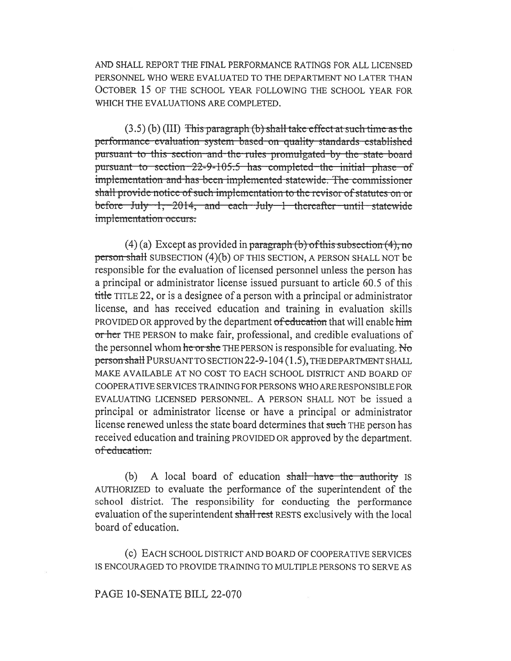AND SHALL REPORT THE FINAL PERFORMANCE RATINGS FOR ALL LICENSED PERSONNEL WHO WERE EVALUATED TO THE DEPARTMENT NO LATER THAN OCTOBER 15 OF THE SCHOOL YEAR FOLLOWING THE SCHOOL YEAR FOR WHICH THE EVALUATIONS ARE COMPLETED.

 $(3.5)$  (b) (III) This paragraph (b) shall take effect at such time as the performance evaluation system based on quality standards established pursuant to this section and the rules promulgated by the state board pursuant to section 22-9-105.5 has completed the initial phase of implementation and has been implemented statewide. The commissioner shall provide notice of such implementation to the revisor of statutes on or before July 1, 2014, and each July 1 thereafter until statewide implementation occurs.

 $(4)$  (a) Except as provided in paragraph (b) of this subsection  $(4)$ , no person shall SUBSECTION (4)(b) OF THIS SECTION, A PERSON SHALL NOT be responsible for the evaluation of licensed personnel unless the person has a principal or administrator license issued pursuant to article 60.5 of this title TITLE 22, or is a designee of a person with a principal or administrator license, and has received education and training in evaluation skills PROVIDED OR approved by the department of education that will enable him or her THE PERSON to make fair, professional, and credible evaluations of the personnel whom he or she THE PERSON is responsible for evaluating. No person shall PURSUANT TO SECTION 22-9-104 (1.5), THE DEPARTMENT SHALL MAKE AVAILABLE AT NO COST TO EACH SCHOOL DISTRICT AND BOARD OF COOPERATIVE SERVICES TRAINING FOR PERSONS WHO ARE RESPONSIBLE FOR EVALUATING LICENSED PERSONNEL. A PERSON SHALL NOT be issued a principal or administrator license or have a principal or administrator license renewed unless the state board determines that such THE person has received education and training PROVIDED OR approved by the department. of education.

(b) A local board of education shall have the authority is AUTHORIZED to evaluate the performance of the superintendent of the school district. The responsibility for conducting the performance evaluation of the superintendent shall rest RESTS exclusively with the local board of education.

(c) EACH SCHOOL DISTRICT AND BOARD OF COOPERATIVE SERVICES IS ENCOURAGED TO PROVIDE TRAINING TO MULTIPLE PERSONS TO SERVE AS

PAGE 10-SENATE BILL 22-070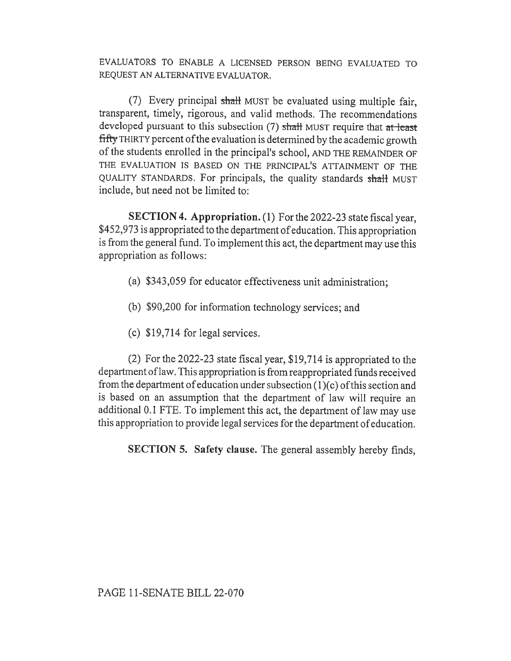EVALUATORS TO ENABLE A LICENSED PERSON BEING EVALUATED TO REQUEST AN ALTERNATIVE EVALUATOR.

(7) Every principal shall MUST be evaluated using multiple fair, transparent, timely, rigorous, and valid methods. The recommendations developed pursuant to this subsection  $(7)$  shall MUST require that at least fifty THIRTY percent of the evaluation is determined by the academic growth of the students enrolled in the principal's school, AND THE REMAINDER OF THE EVALUATION IS BASED ON THE PRINCIPAL'S ATTAINMENT OF THE QUALITY STANDARDS. For principals, the quality standards shall MUST include, but need not be limited to:

SECTION 4. Appropriation. (1) For the 2022-23 state fiscal year, \$452,973 is appropriated to the department of education. This appropriation is from the general fund. To implement this act, the department may use this appropriation as follows:

- (a) \$343,059 for educator effectiveness unit administration;
- (b) \$90,200 for information technology services; and
- (c) \$19,714 for legal services.

(2) For the 2022-23 state fiscal year, \$19,714 is appropriated to the department of law. This appropriation is from reappropriated funds received from the department of education under subsection (1)(c) of this section and is based on an assumption that the department of law will require an additional 0.1 FTE. To implement this act, the department of law may use this appropriation to provide legal services for the department of education.

SECTION 5. Safety clause. The general assembly hereby finds,